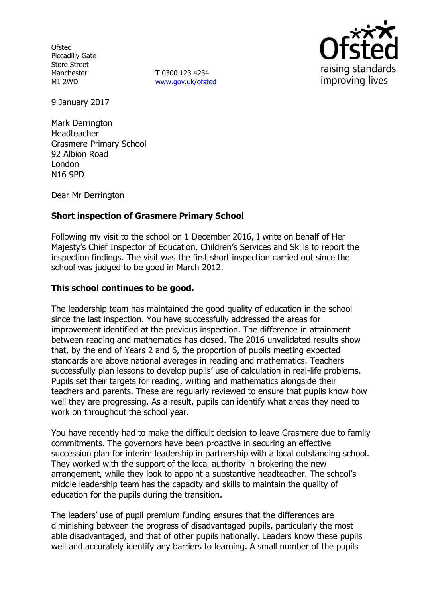**Ofsted** Piccadilly Gate Store Street Manchester M1 2WD

**T** 0300 123 4234 www.gov.uk/ofsted



9 January 2017

Mark Derrington Headteacher Grasmere Primary School 92 Albion Road London N16 9PD

Dear Mr Derrington

# **Short inspection of Grasmere Primary School**

Following my visit to the school on 1 December 2016, I write on behalf of Her Majesty's Chief Inspector of Education, Children's Services and Skills to report the inspection findings. The visit was the first short inspection carried out since the school was judged to be good in March 2012.

### **This school continues to be good.**

The leadership team has maintained the good quality of education in the school since the last inspection. You have successfully addressed the areas for improvement identified at the previous inspection. The difference in attainment between reading and mathematics has closed. The 2016 unvalidated results show that, by the end of Years 2 and 6, the proportion of pupils meeting expected standards are above national averages in reading and mathematics. Teachers successfully plan lessons to develop pupils' use of calculation in real-life problems. Pupils set their targets for reading, writing and mathematics alongside their teachers and parents. These are regularly reviewed to ensure that pupils know how well they are progressing. As a result, pupils can identify what areas they need to work on throughout the school year.

You have recently had to make the difficult decision to leave Grasmere due to family commitments. The governors have been proactive in securing an effective succession plan for interim leadership in partnership with a local outstanding school. They worked with the support of the local authority in brokering the new arrangement, while they look to appoint a substantive headteacher. The school's middle leadership team has the capacity and skills to maintain the quality of education for the pupils during the transition.

The leaders' use of pupil premium funding ensures that the differences are diminishing between the progress of disadvantaged pupils, particularly the most able disadvantaged, and that of other pupils nationally. Leaders know these pupils well and accurately identify any barriers to learning. A small number of the pupils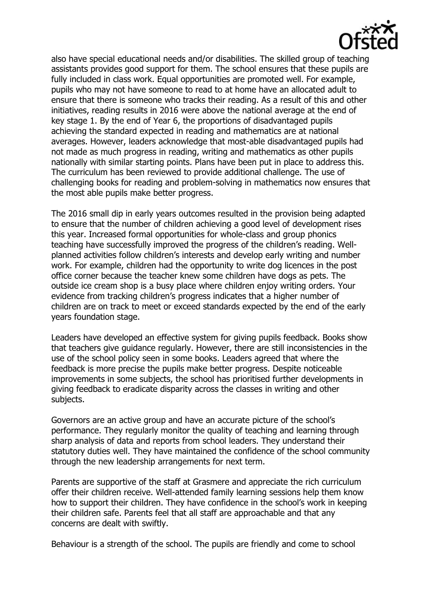

also have special educational needs and/or disabilities. The skilled group of teaching assistants provides good support for them. The school ensures that these pupils are fully included in class work. Equal opportunities are promoted well. For example, pupils who may not have someone to read to at home have an allocated adult to ensure that there is someone who tracks their reading. As a result of this and other initiatives, reading results in 2016 were above the national average at the end of key stage 1. By the end of Year 6, the proportions of disadvantaged pupils achieving the standard expected in reading and mathematics are at national averages. However, leaders acknowledge that most-able disadvantaged pupils had not made as much progress in reading, writing and mathematics as other pupils nationally with similar starting points. Plans have been put in place to address this. The curriculum has been reviewed to provide additional challenge. The use of challenging books for reading and problem-solving in mathematics now ensures that the most able pupils make better progress.

The 2016 small dip in early years outcomes resulted in the provision being adapted to ensure that the number of children achieving a good level of development rises this year. Increased formal opportunities for whole-class and group phonics teaching have successfully improved the progress of the children's reading. Wellplanned activities follow children's interests and develop early writing and number work. For example, children had the opportunity to write dog licences in the post office corner because the teacher knew some children have dogs as pets. The outside ice cream shop is a busy place where children enjoy writing orders. Your evidence from tracking children's progress indicates that a higher number of children are on track to meet or exceed standards expected by the end of the early years foundation stage.

Leaders have developed an effective system for giving pupils feedback. Books show that teachers give guidance regularly. However, there are still inconsistencies in the use of the school policy seen in some books. Leaders agreed that where the feedback is more precise the pupils make better progress. Despite noticeable improvements in some subjects, the school has prioritised further developments in giving feedback to eradicate disparity across the classes in writing and other subjects.

Governors are an active group and have an accurate picture of the school's performance. They regularly monitor the quality of teaching and learning through sharp analysis of data and reports from school leaders. They understand their statutory duties well. They have maintained the confidence of the school community through the new leadership arrangements for next term.

Parents are supportive of the staff at Grasmere and appreciate the rich curriculum offer their children receive. Well-attended family learning sessions help them know how to support their children. They have confidence in the school's work in keeping their children safe. Parents feel that all staff are approachable and that any concerns are dealt with swiftly.

Behaviour is a strength of the school. The pupils are friendly and come to school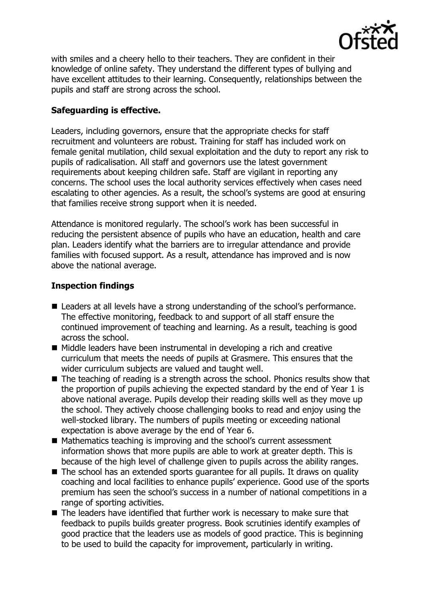

with smiles and a cheery hello to their teachers. They are confident in their knowledge of online safety. They understand the different types of bullying and have excellent attitudes to their learning. Consequently, relationships between the pupils and staff are strong across the school.

# **Safeguarding is effective.**

Leaders, including governors, ensure that the appropriate checks for staff recruitment and volunteers are robust. Training for staff has included work on female genital mutilation, child sexual exploitation and the duty to report any risk to pupils of radicalisation. All staff and governors use the latest government requirements about keeping children safe. Staff are vigilant in reporting any concerns. The school uses the local authority services effectively when cases need escalating to other agencies. As a result, the school's systems are good at ensuring that families receive strong support when it is needed.

Attendance is monitored regularly. The school's work has been successful in reducing the persistent absence of pupils who have an education, health and care plan. Leaders identify what the barriers are to irregular attendance and provide families with focused support. As a result, attendance has improved and is now above the national average.

### **Inspection findings**

- Leaders at all levels have a strong understanding of the school's performance. The effective monitoring, feedback to and support of all staff ensure the continued improvement of teaching and learning. As a result, teaching is good across the school.
- Middle leaders have been instrumental in developing a rich and creative curriculum that meets the needs of pupils at Grasmere. This ensures that the wider curriculum subjects are valued and taught well.
- The teaching of reading is a strength across the school. Phonics results show that the proportion of pupils achieving the expected standard by the end of Year 1 is above national average. Pupils develop their reading skills well as they move up the school. They actively choose challenging books to read and enjoy using the well-stocked library. The numbers of pupils meeting or exceeding national expectation is above average by the end of Year 6.
- Mathematics teaching is improving and the school's current assessment information shows that more pupils are able to work at greater depth. This is because of the high level of challenge given to pupils across the ability ranges.
- The school has an extended sports quarantee for all pupils. It draws on quality coaching and local facilities to enhance pupils' experience. Good use of the sports premium has seen the school's success in a number of national competitions in a range of sporting activities.
- The leaders have identified that further work is necessary to make sure that feedback to pupils builds greater progress. Book scrutinies identify examples of good practice that the leaders use as models of good practice. This is beginning to be used to build the capacity for improvement, particularly in writing.